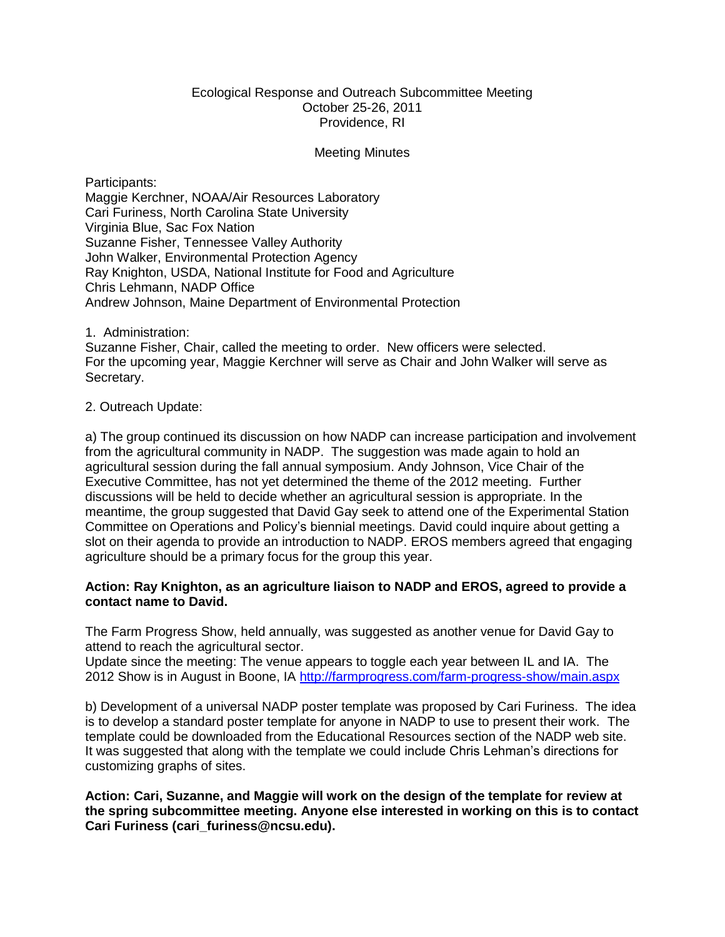### Ecological Response and Outreach Subcommittee Meeting October 25-26, 2011 Providence, RI

### Meeting Minutes

Participants: Maggie Kerchner, NOAA/Air Resources Laboratory Cari Furiness, North Carolina State University Virginia Blue, Sac Fox Nation Suzanne Fisher, Tennessee Valley Authority John Walker, Environmental Protection Agency Ray Knighton, USDA, National Institute for Food and Agriculture Chris Lehmann, NADP Office Andrew Johnson, Maine Department of Environmental Protection

1. Administration:

Suzanne Fisher, Chair, called the meeting to order. New officers were selected. For the upcoming year, Maggie Kerchner will serve as Chair and John Walker will serve as Secretary.

### 2. Outreach Update:

a) The group continued its discussion on how NADP can increase participation and involvement from the agricultural community in NADP. The suggestion was made again to hold an agricultural session during the fall annual symposium. Andy Johnson, Vice Chair of the Executive Committee, has not yet determined the theme of the 2012 meeting. Further discussions will be held to decide whether an agricultural session is appropriate. In the meantime, the group suggested that David Gay seek to attend one of the Experimental Station Committee on Operations and Policy's biennial meetings. David could inquire about getting a slot on their agenda to provide an introduction to NADP. EROS members agreed that engaging agriculture should be a primary focus for the group this year.

## **Action: Ray Knighton, as an agriculture liaison to NADP and EROS, agreed to provide a contact name to David.**

The Farm Progress Show, held annually, was suggested as another venue for David Gay to attend to reach the agricultural sector.

Update since the meeting: The venue appears to toggle each year between IL and IA. The 2012 Show is in August in Boone, IA<http://farmprogress.com/farm-progress-show/main.aspx>

b) Development of a universal NADP poster template was proposed by Cari Furiness. The idea is to develop a standard poster template for anyone in NADP to use to present their work. The template could be downloaded from the Educational Resources section of the NADP web site. It was suggested that along with the template we could include Chris Lehman's directions for customizing graphs of sites.

**Action: Cari, Suzanne, and Maggie will work on the design of the template for review at the spring subcommittee meeting. Anyone else interested in working on this is to contact Cari Furiness (cari\_furiness@ncsu.edu).**